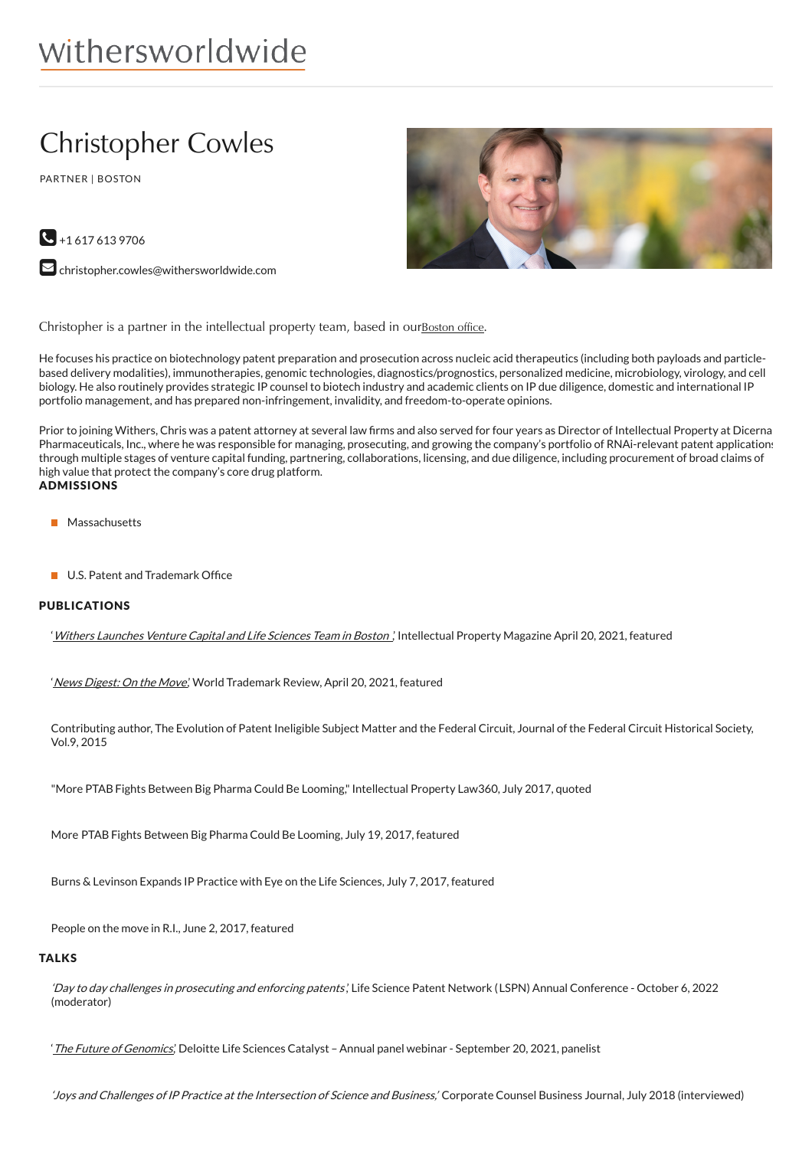# withersworldwide

## Christopher Cowles

PARTNER | BOSTON





 $\blacktriangleright$  [christopher.cowles@withersworldwide.com](mailto:christopher.cowles@withersworldwide.com?subject=Website Enquiry - Profile Page)

Christopher is a partner in the intellectual property team, based in our**[Boston](https://www.withersworldwide.com/en-gb/boston_1) office**.

He focuses his practice on biotechnology patent preparation and prosecution across nucleic acid therapeutics (including both payloads and particlebased delivery modalities), immunotherapies, genomic technologies, diagnostics/prognostics, personalized medicine, microbiology, virology, and cell biology. He also routinely provides strategic IP counsel to biotech industry and academic clients on IP due diligence, domestic and international IP portfolio management, and has prepared non-infringement, invalidity, and freedom-to-operate opinions.

Prior to joining Withers, Chris was a patent attorney at several law firms and also served for four years as Director of Intellectual Property at Dicerna Pharmaceuticals, Inc., where he was responsible for managing, prosecuting, and growing the company's portfolio of RNAi-relevant patent applications through multiple stages of venture capital funding, partnering, collaborations, licensing, and due diligence, including procurement of broad claims of high value that protect the company's core drug platform. ADMISSIONS

- **Massachusetts**
- $\blacksquare$  U.S. Patent and Trademark Office

#### PUBLICATIONS

'Withers [Launches](https://www.intellectualpropertymagazine.com/people/withers-launches-venture-capital-and-life-sciences-team-in-boston-146549.htm) Venture Capital and Life Sciences Team in Boston ,' Intellectual Property Magazine April 20, 2021, featured

'News [Digest:](https://www.worldtrademarkreview.com/anti-counterfeiting/european-super-league-may-cost-clubs-eu25-billion-brand-value-cuthbert-the-caterpillar-returns-barbie-and-zara-partner-news-digest) On the Move', World Trademark Review, April 20, 2021, featured

Contributing author, The Evolution of Patent Ineligible Subject Matter and the Federal Circuit, Journal of the Federal Circuit Historical Society, Vol.9, 2015

"More PTAB Fights Between Big Pharma Could Be Looming,"Intellectual Property Law360, July 2017, quoted

More PTAB Fights Between Big Pharma Could Be Looming, July 19, 2017, featured

Burns & Levinson Expands IP Practice with Eye on the Life Sciences, July 7, 2017, featured

People on the move in R.I., June 2, 2017, featured

#### **TALKS**

'Day to day challenges in prosecuting and enforcing patents', Life Science Patent Network (LSPN) Annual Conference - October 6, 2022 (moderator)

'The Future of [Genomics](https://event.webcasts.com/starthere.jsp?ei=1480893&tp_key=c80f125998)', Deloitte Life Sciences Catalyst - Annual panel webinar - September 20, 2021, panelist

'Joys and Challenges of IP Practice at the Intersection of Science and Business,' Corporate Counsel Business Journal, July 2018 (interviewed)